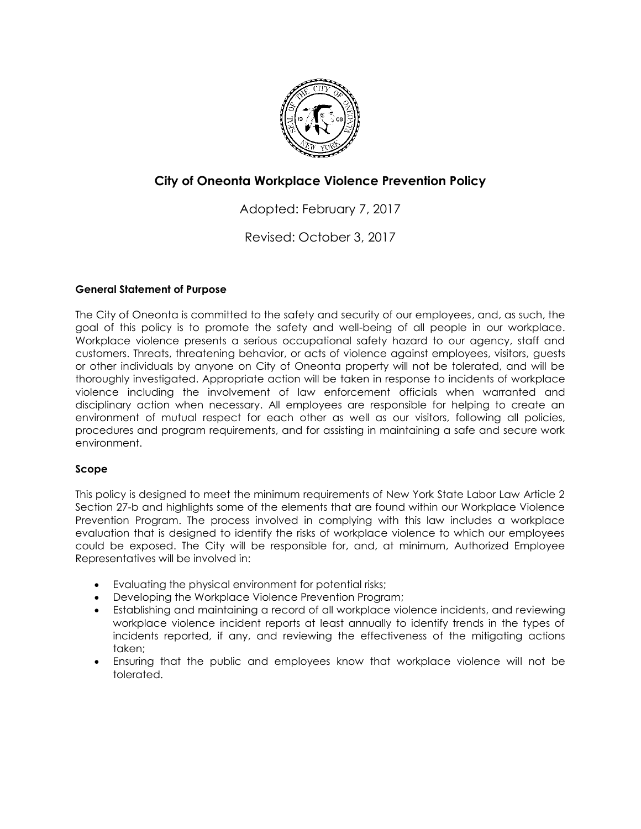

# **City of Oneonta Workplace Violence Prevention Policy**

Adopted: February 7, 2017

Revised: October 3, 2017

## **General Statement of Purpose**

The City of Oneonta is committed to the safety and security of our employees, and, as such, the goal of this policy is to promote the safety and well-being of all people in our workplace. Workplace violence presents a serious occupational safety hazard to our agency, staff and customers. Threats, threatening behavior, or acts of violence against employees, visitors, guests or other individuals by anyone on City of Oneonta property will not be tolerated, and will be thoroughly investigated. Appropriate action will be taken in response to incidents of workplace violence including the involvement of law enforcement officials when warranted and disciplinary action when necessary. All employees are responsible for helping to create an environment of mutual respect for each other as well as our visitors, following all policies, procedures and program requirements, and for assisting in maintaining a safe and secure work environment.

## **Scope**

This policy is designed to meet the minimum requirements of New York State Labor Law Article 2 Section 27-b and highlights some of the elements that are found within our Workplace Violence Prevention Program. The process involved in complying with this law includes a workplace evaluation that is designed to identify the risks of workplace violence to which our employees could be exposed. The City will be responsible for, and, at minimum, Authorized Employee Representatives will be involved in:

- Evaluating the physical environment for potential risks;
- Developing the Workplace Violence Prevention Program;
- Establishing and maintaining a record of all workplace violence incidents, and reviewing workplace violence incident reports at least annually to identify trends in the types of incidents reported, if any, and reviewing the effectiveness of the mitigating actions taken;
- Ensuring that the public and employees know that workplace violence will not be tolerated.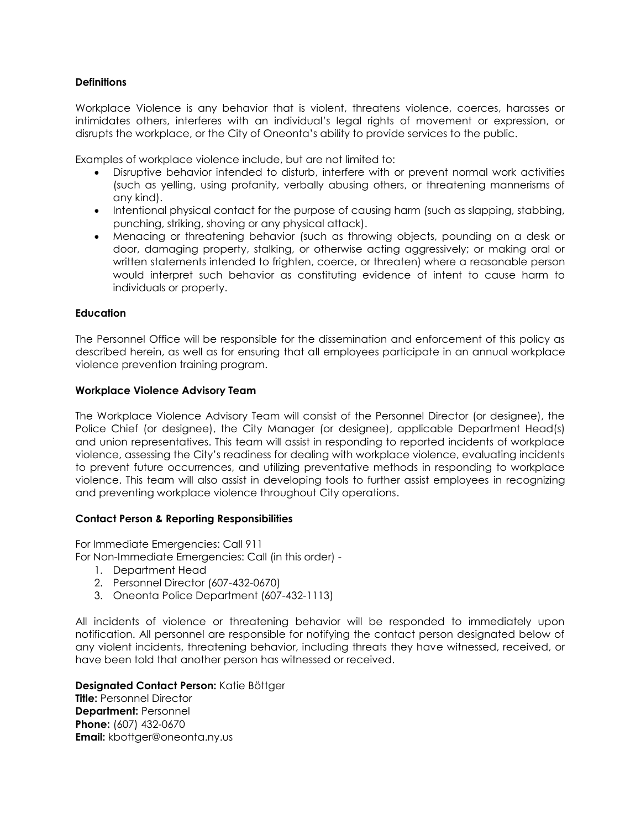## **Definitions**

Workplace Violence is any behavior that is violent, threatens violence, coerces, harasses or intimidates others, interferes with an individual's legal rights of movement or expression, or disrupts the workplace, or the City of Oneonta's ability to provide services to the public.

Examples of workplace violence include, but are not limited to:

- Disruptive behavior intended to disturb, interfere with or prevent normal work activities (such as yelling, using profanity, verbally abusing others, or threatening mannerisms of any kind).
- Intentional physical contact for the purpose of causing harm (such as slapping, stabbing, punching, striking, shoving or any physical attack).
- Menacing or threatening behavior (such as throwing objects, pounding on a desk or door, damaging property, stalking, or otherwise acting aggressively; or making oral or written statements intended to frighten, coerce, or threaten) where a reasonable person would interpret such behavior as constituting evidence of intent to cause harm to individuals or property.

#### **Education**

The Personnel Office will be responsible for the dissemination and enforcement of this policy as described herein, as well as for ensuring that all employees participate in an annual workplace violence prevention training program.

#### **Workplace Violence Advisory Team**

The Workplace Violence Advisory Team will consist of the Personnel Director (or designee), the Police Chief (or designee), the City Manager (or designee), applicable Department Head(s) and union representatives. This team will assist in responding to reported incidents of workplace violence, assessing the City's readiness for dealing with workplace violence, evaluating incidents to prevent future occurrences, and utilizing preventative methods in responding to workplace violence. This team will also assist in developing tools to further assist employees in recognizing and preventing workplace violence throughout City operations.

#### **Contact Person & Reporting Responsibilities**

For Immediate Emergencies: Call 911

For Non-Immediate Emergencies: Call (in this order) -

- 1. Department Head
- 2. Personnel Director (607-432-0670)
- 3. Oneonta Police Department (607-432-1113)

All incidents of violence or threatening behavior will be responded to immediately upon notification. All personnel are responsible for notifying the contact person designated below of any violent incidents, threatening behavior, including threats they have witnessed, received, or have been told that another person has witnessed or received.

#### **Designated Contact Person:** Katie Böttger

**Title:** Personnel Director **Department:** Personnel **Phone:** (607) 432-0670 **Email:** [kbottger@oneonta.ny.us](mailto:kbottger@oneonta.ny.us)